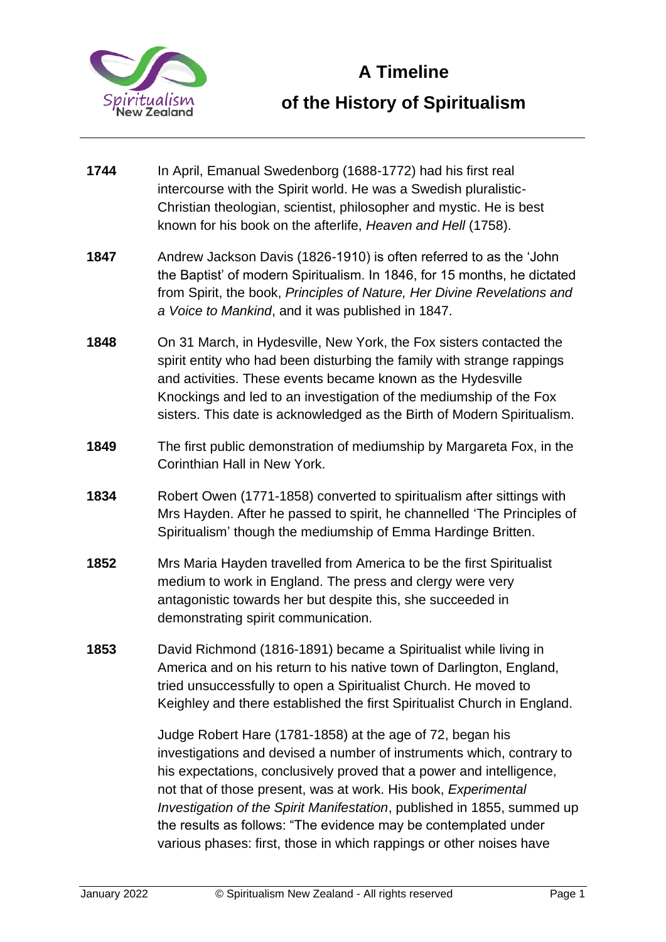

- **1744** In April, Emanual Swedenborg (1688-1772) had his first real intercourse with the Spirit world. He was a Swedish pluralistic-Christian theologian, scientist, philosopher and mystic. He is best known for his book on the afterlife, *Heaven and Hell* (1758).
- **1847** Andrew Jackson Davis (1826-1910) is often referred to as the 'John the Baptist' of modern Spiritualism. In 1846, for 15 months, he dictated from Spirit, the book, *Principles of Nature, Her Divine Revelations and a Voice to Mankind*, and it was published in 1847.
- **1848** On 31 March, in Hydesville, New York, the Fox sisters contacted the spirit entity who had been disturbing the family with strange rappings and activities. These events became known as the Hydesville Knockings and led to an investigation of the mediumship of the Fox sisters. This date is acknowledged as the Birth of Modern Spiritualism.
- **1849** The first public demonstration of mediumship by Margareta Fox, in the Corinthian Hall in New York.
- **1834** Robert Owen (1771-1858) converted to spiritualism after sittings with Mrs Hayden. After he passed to spirit, he channelled 'The Principles of Spiritualism' though the mediumship of Emma Hardinge Britten.
- **1852** Mrs Maria Hayden travelled from America to be the first Spiritualist medium to work in England. The press and clergy were very antagonistic towards her but despite this, she succeeded in demonstrating spirit communication.
- **1853** David Richmond (1816-1891) became a Spiritualist while living in America and on his return to his native town of Darlington, England, tried unsuccessfully to open a Spiritualist Church. He moved to Keighley and there established the first Spiritualist Church in England.

Judge Robert Hare (1781-1858) at the age of 72, began his investigations and devised a number of instruments which, contrary to his expectations, conclusively proved that a power and intelligence, not that of those present, was at work. His book, *Experimental Investigation of the Spirit Manifestation*, published in 1855, summed up the results as follows: "The evidence may be contemplated under various phases: first, those in which rappings or other noises have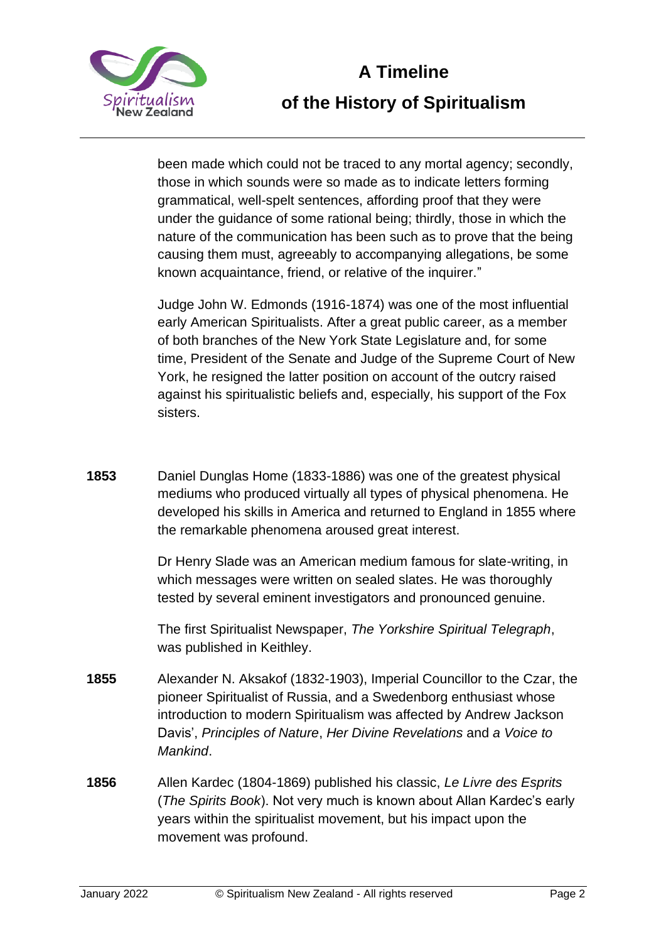

been made which could not be traced to any mortal agency; secondly, those in which sounds were so made as to indicate letters forming grammatical, well-spelt sentences, affording proof that they were under the guidance of some rational being; thirdly, those in which the nature of the communication has been such as to prove that the being causing them must, agreeably to accompanying allegations, be some known acquaintance, friend, or relative of the inquirer."

Judge John W. Edmonds (1916-1874) was one of the most influential early American Spiritualists. After a great public career, as a member of both branches of the New York State Legislature and, for some time, President of the Senate and Judge of the Supreme Court of New York, he resigned the latter position on account of the outcry raised against his spiritualistic beliefs and, especially, his support of the Fox sisters.

**1853** Daniel Dunglas Home (1833-1886) was one of the greatest physical mediums who produced virtually all types of physical phenomena. He developed his skills in America and returned to England in 1855 where the remarkable phenomena aroused great interest.

> Dr Henry Slade was an American medium famous for slate-writing, in which messages were written on sealed slates. He was thoroughly tested by several eminent investigators and pronounced genuine.

The first Spiritualist Newspaper, *The Yorkshire Spiritual Telegraph*, was published in Keithley.

- **1855** Alexander N. Aksakof (1832-1903), Imperial Councillor to the Czar, the pioneer Spiritualist of Russia, and a Swedenborg enthusiast whose introduction to modern Spiritualism was affected by Andrew Jackson Davis', *Principles of Nature*, *Her Divine Revelations* and *a Voice to Mankind*.
- **1856** Allen Kardec (1804-1869) published his classic, *Le Livre des Esprits* (*The Spirits Book*). Not very much is known about Allan Kardec's early years within the spiritualist movement, but his impact upon the movement was profound.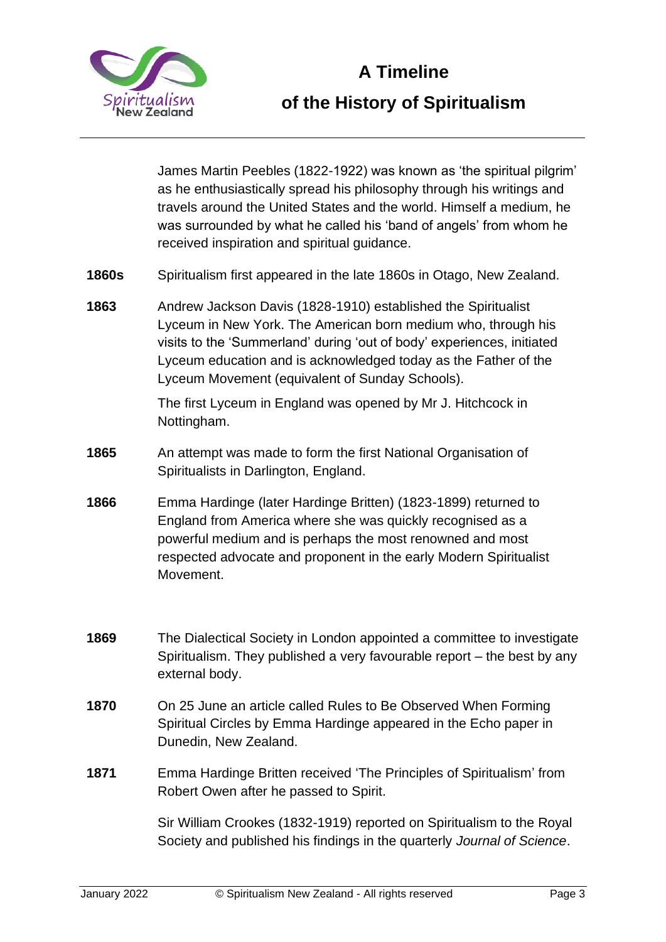

James Martin Peebles (1822-1922) was known as 'the spiritual pilgrim' as he enthusiastically spread his philosophy through his writings and travels around the United States and the world. Himself a medium, he was surrounded by what he called his 'band of angels' from whom he received inspiration and spiritual guidance.

- **1860s** Spiritualism first appeared in the late 1860s in Otago, New Zealand.
- **1863** Andrew Jackson Davis (1828-1910) established the Spiritualist Lyceum in New York. The American born medium who, through his visits to the 'Summerland' during 'out of body' experiences, initiated Lyceum education and is acknowledged today as the Father of the Lyceum Movement (equivalent of Sunday Schools).

The first Lyceum in England was opened by Mr J. Hitchcock in Nottingham.

- **1865** An attempt was made to form the first National Organisation of Spiritualists in Darlington, England.
- **1866** Emma Hardinge (later Hardinge Britten) (1823-1899) returned to England from America where she was quickly recognised as a powerful medium and is perhaps the most renowned and most respected advocate and proponent in the early Modern Spiritualist Movement.
- **1869** The Dialectical Society in London appointed a committee to investigate Spiritualism. They published a very favourable report – the best by any external body.
- **1870** On 25 June an article called Rules to Be Observed When Forming Spiritual Circles by Emma Hardinge appeared in the Echo paper in Dunedin, New Zealand.
- **1871** Emma Hardinge Britten received 'The Principles of Spiritualism' from Robert Owen after he passed to Spirit.

Sir William Crookes (1832-1919) reported on Spiritualism to the Royal Society and published his findings in the quarterly *Journal of Science*.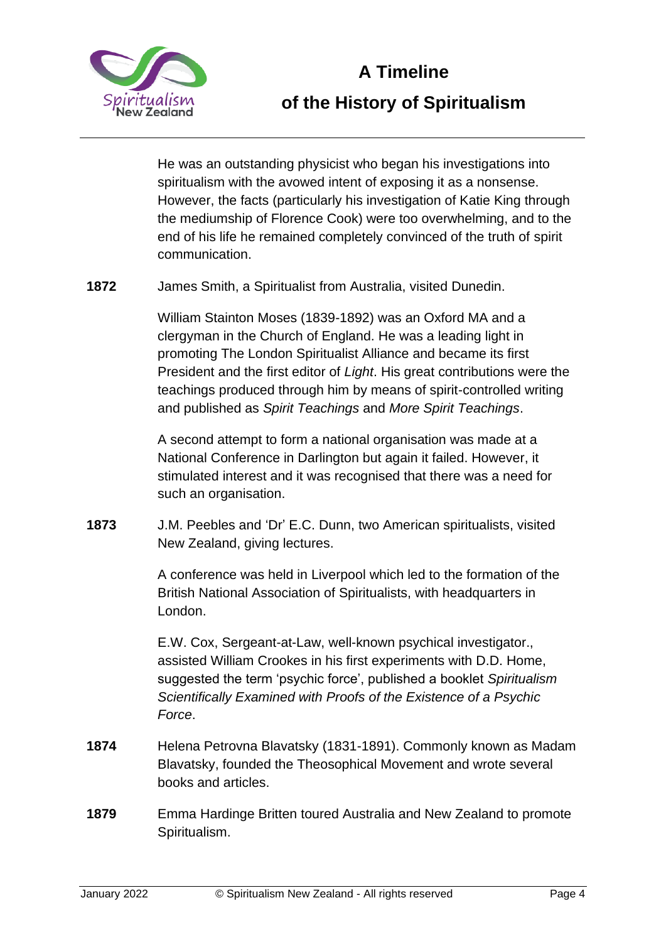

He was an outstanding physicist who began his investigations into spiritualism with the avowed intent of exposing it as a nonsense. However, the facts (particularly his investigation of Katie King through the mediumship of Florence Cook) were too overwhelming, and to the end of his life he remained completely convinced of the truth of spirit communication.

**1872** James Smith, a Spiritualist from Australia, visited Dunedin.

William Stainton Moses (1839-1892) was an Oxford MA and a clergyman in the Church of England. He was a leading light in promoting The London Spiritualist Alliance and became its first President and the first editor of *Light*. His great contributions were the teachings produced through him by means of spirit-controlled writing and published as *Spirit Teachings* and *More Spirit Teachings*.

A second attempt to form a national organisation was made at a National Conference in Darlington but again it failed. However, it stimulated interest and it was recognised that there was a need for such an organisation.

**1873** J.M. Peebles and 'Dr' E.C. Dunn, two American spiritualists, visited New Zealand, giving lectures.

> A conference was held in Liverpool which led to the formation of the British National Association of Spiritualists, with headquarters in London.

> E.W. Cox, Sergeant-at-Law, well-known psychical investigator., assisted William Crookes in his first experiments with D.D. Home, suggested the term 'psychic force', published a booklet *Spiritualism Scientifically Examined with Proofs of the Existence of a Psychic Force*.

- **1874** Helena Petrovna Blavatsky (1831-1891). Commonly known as Madam Blavatsky, founded the Theosophical Movement and wrote several books and articles.
- **1879** Emma Hardinge Britten toured Australia and New Zealand to promote Spiritualism.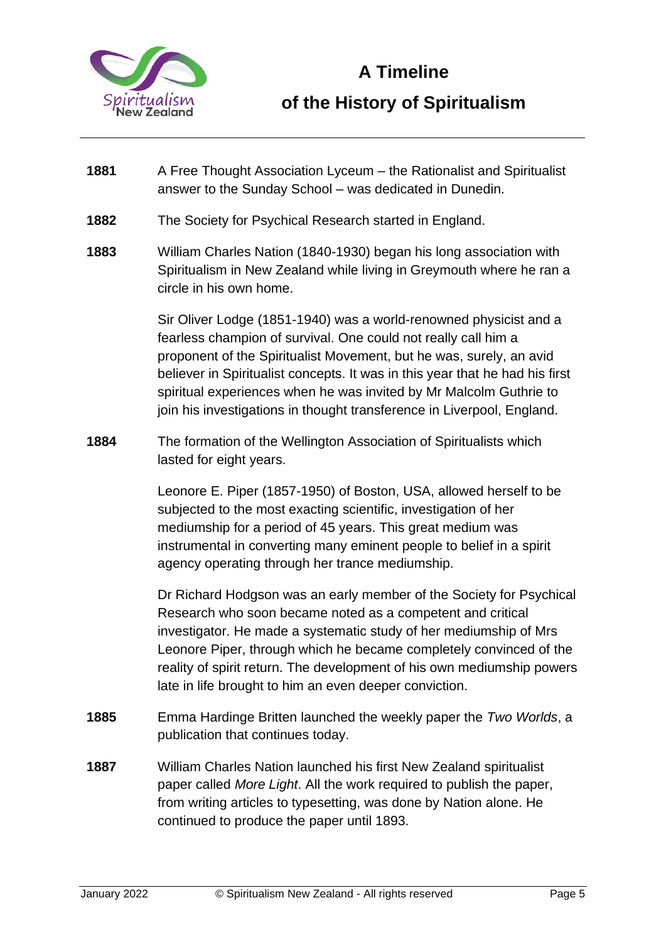

- **1881** A Free Thought Association Lyceum the Rationalist and Spiritualist answer to the Sunday School – was dedicated in Dunedin.
- **1882** The Society for Psychical Research started in England.
- **1883** William Charles Nation (1840-1930) began his long association with Spiritualism in New Zealand while living in Greymouth where he ran a circle in his own home.

Sir Oliver Lodge (1851-1940) was a world-renowned physicist and a fearless champion of survival. One could not really call him a proponent of the Spiritualist Movement, but he was, surely, an avid believer in Spiritualist concepts. It was in this year that he had his first spiritual experiences when he was invited by Mr Malcolm Guthrie to join his investigations in thought transference in Liverpool, England.

**1884** The formation of the Wellington Association of Spiritualists which lasted for eight years.

> Leonore E. Piper (1857-1950) of Boston, USA, allowed herself to be subjected to the most exacting scientific, investigation of her mediumship for a period of 45 years. This great medium was instrumental in converting many eminent people to belief in a spirit agency operating through her trance mediumship.

Dr Richard Hodgson was an early member of the Society for Psychical Research who soon became noted as a competent and critical investigator. He made a systematic study of her mediumship of Mrs Leonore Piper, through which he became completely convinced of the reality of spirit return. The development of his own mediumship powers late in life brought to him an even deeper conviction.

- **1885** Emma Hardinge Britten launched the weekly paper the *Two Worlds*, a publication that continues today.
- **1887** William Charles Nation launched his first New Zealand spiritualist paper called *More Light*. All the work required to publish the paper, from writing articles to typesetting, was done by Nation alone. He continued to produce the paper until 1893.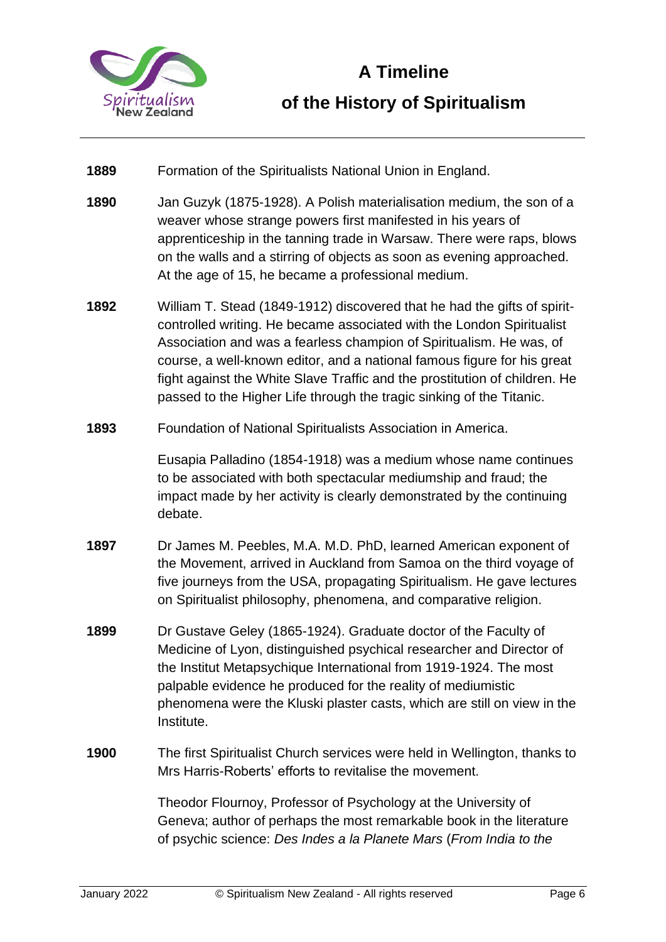

- **1889** Formation of the Spiritualists National Union in England.
- **1890** Jan Guzyk (1875-1928). A Polish materialisation medium, the son of a weaver whose strange powers first manifested in his years of apprenticeship in the tanning trade in Warsaw. There were raps, blows on the walls and a stirring of objects as soon as evening approached. At the age of 15, he became a professional medium.
- **1892** William T. Stead (1849-1912) discovered that he had the gifts of spiritcontrolled writing. He became associated with the London Spiritualist Association and was a fearless champion of Spiritualism. He was, of course, a well-known editor, and a national famous figure for his great fight against the White Slave Traffic and the prostitution of children. He passed to the Higher Life through the tragic sinking of the Titanic.
- **1893** Foundation of National Spiritualists Association in America.

Eusapia Palladino (1854-1918) was a medium whose name continues to be associated with both spectacular mediumship and fraud; the impact made by her activity is clearly demonstrated by the continuing debate.

- **1897** Dr James M. Peebles, M.A. M.D. PhD, learned American exponent of the Movement, arrived in Auckland from Samoa on the third voyage of five journeys from the USA, propagating Spiritualism. He gave lectures on Spiritualist philosophy, phenomena, and comparative religion.
- **1899** Dr Gustave Geley (1865-1924). Graduate doctor of the Faculty of Medicine of Lyon, distinguished psychical researcher and Director of the Institut Metapsychique International from 1919-1924. The most palpable evidence he produced for the reality of mediumistic phenomena were the Kluski plaster casts, which are still on view in the Institute.
- **1900** The first Spiritualist Church services were held in Wellington, thanks to Mrs Harris-Roberts' efforts to revitalise the movement.

Theodor Flournoy, Professor of Psychology at the University of Geneva; author of perhaps the most remarkable book in the literature of psychic science: *Des Indes a la Planete Mars* (*From India to the*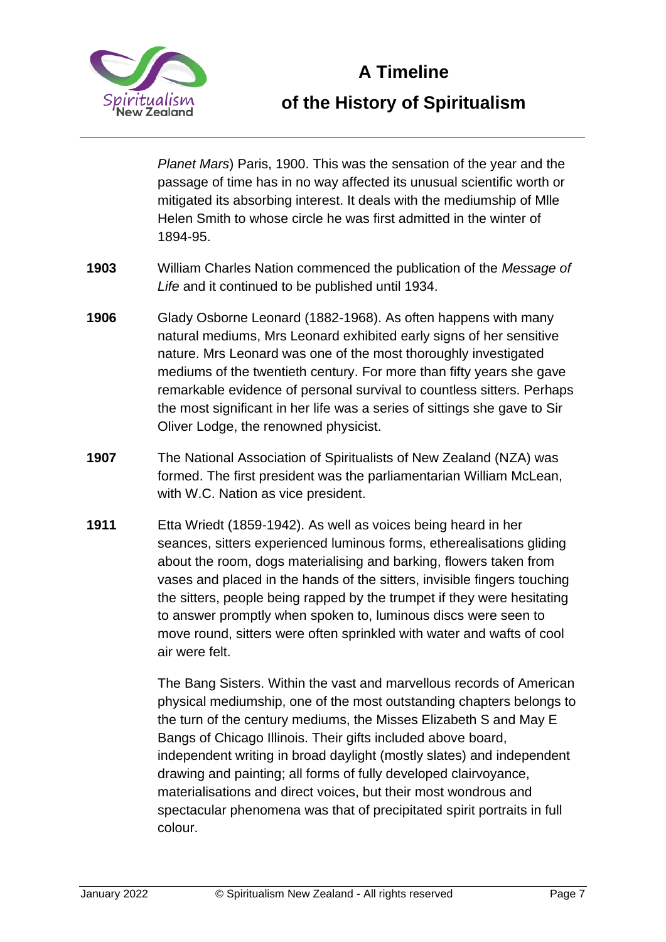

*Planet Mars*) Paris, 1900. This was the sensation of the year and the passage of time has in no way affected its unusual scientific worth or mitigated its absorbing interest. It deals with the mediumship of Mlle Helen Smith to whose circle he was first admitted in the winter of 1894-95.

- **1903** William Charles Nation commenced the publication of the *Message of Life* and it continued to be published until 1934.
- **1906** Glady Osborne Leonard (1882-1968). As often happens with many natural mediums, Mrs Leonard exhibited early signs of her sensitive nature. Mrs Leonard was one of the most thoroughly investigated mediums of the twentieth century. For more than fifty years she gave remarkable evidence of personal survival to countless sitters. Perhaps the most significant in her life was a series of sittings she gave to Sir Oliver Lodge, the renowned physicist.
- **1907** The National Association of Spiritualists of New Zealand (NZA) was formed. The first president was the parliamentarian William McLean, with W.C. Nation as vice president.
- **1911** Etta Wriedt (1859-1942). As well as voices being heard in her seances, sitters experienced luminous forms, etherealisations gliding about the room, dogs materialising and barking, flowers taken from vases and placed in the hands of the sitters, invisible fingers touching the sitters, people being rapped by the trumpet if they were hesitating to answer promptly when spoken to, luminous discs were seen to move round, sitters were often sprinkled with water and wafts of cool air were felt.

The Bang Sisters. Within the vast and marvellous records of American physical mediumship, one of the most outstanding chapters belongs to the turn of the century mediums, the Misses Elizabeth S and May E Bangs of Chicago Illinois. Their gifts included above board, independent writing in broad daylight (mostly slates) and independent drawing and painting; all forms of fully developed clairvoyance, materialisations and direct voices, but their most wondrous and spectacular phenomena was that of precipitated spirit portraits in full colour.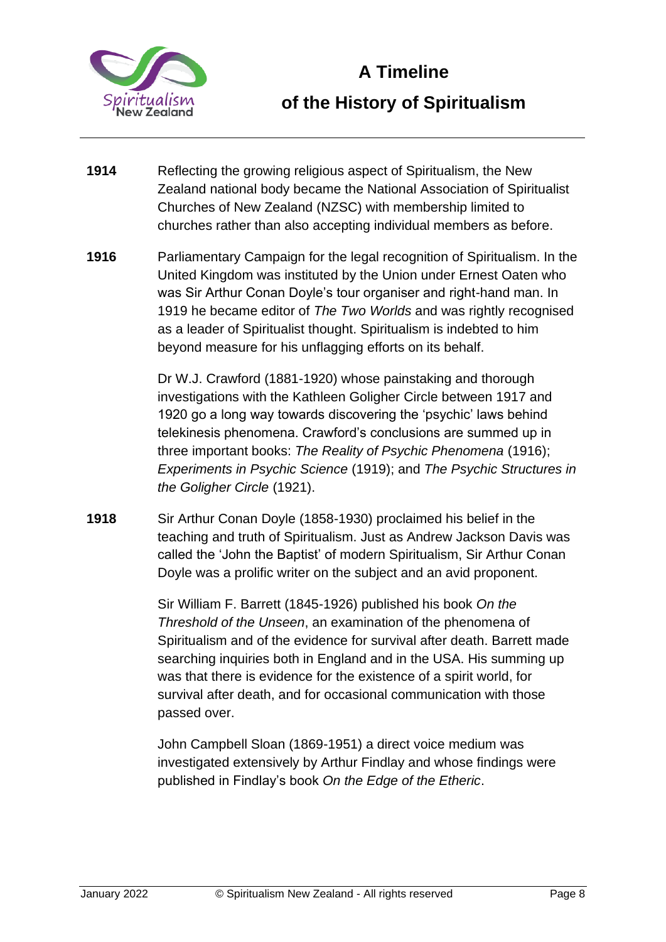

- **1914** Reflecting the growing religious aspect of Spiritualism, the New Zealand national body became the National Association of Spiritualist Churches of New Zealand (NZSC) with membership limited to churches rather than also accepting individual members as before.
- **1916** Parliamentary Campaign for the legal recognition of Spiritualism. In the United Kingdom was instituted by the Union under Ernest Oaten who was Sir Arthur Conan Doyle's tour organiser and right-hand man. In 1919 he became editor of *The Two Worlds* and was rightly recognised as a leader of Spiritualist thought. Spiritualism is indebted to him beyond measure for his unflagging efforts on its behalf.

Dr W.J. Crawford (1881-1920) whose painstaking and thorough investigations with the Kathleen Goligher Circle between 1917 and 1920 go a long way towards discovering the 'psychic' laws behind telekinesis phenomena. Crawford's conclusions are summed up in three important books: *The Reality of Psychic Phenomena* (1916); *Experiments in Psychic Science* (1919); and *The Psychic Structures in the Goligher Circle* (1921).

**1918** Sir Arthur Conan Doyle (1858-1930) proclaimed his belief in the teaching and truth of Spiritualism. Just as Andrew Jackson Davis was called the 'John the Baptist' of modern Spiritualism, Sir Arthur Conan Doyle was a prolific writer on the subject and an avid proponent.

> Sir William F. Barrett (1845-1926) published his book *On the Threshold of the Unseen*, an examination of the phenomena of Spiritualism and of the evidence for survival after death. Barrett made searching inquiries both in England and in the USA. His summing up was that there is evidence for the existence of a spirit world, for survival after death, and for occasional communication with those passed over.

John Campbell Sloan (1869-1951) a direct voice medium was investigated extensively by Arthur Findlay and whose findings were published in Findlay's book *On the Edge of the Etheric*.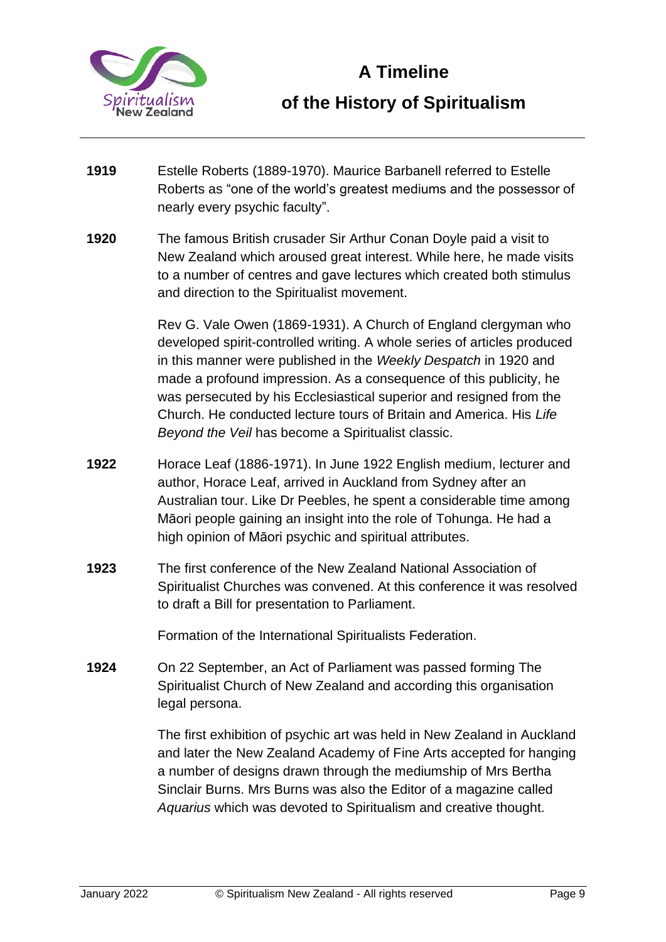

- **1919** Estelle Roberts (1889-1970). Maurice Barbanell referred to Estelle Roberts as "one of the world's greatest mediums and the possessor of nearly every psychic faculty".
- **1920** The famous British crusader Sir Arthur Conan Doyle paid a visit to New Zealand which aroused great interest. While here, he made visits to a number of centres and gave lectures which created both stimulus and direction to the Spiritualist movement.

Rev G. Vale Owen (1869-1931). A Church of England clergyman who developed spirit-controlled writing. A whole series of articles produced in this manner were published in the *Weekly Despatch* in 1920 and made a profound impression. As a consequence of this publicity, he was persecuted by his Ecclesiastical superior and resigned from the Church. He conducted lecture tours of Britain and America. His *Life Beyond the Veil* has become a Spiritualist classic.

- **1922** Horace Leaf (1886-1971). In June 1922 English medium, lecturer and author, Horace Leaf, arrived in Auckland from Sydney after an Australian tour. Like Dr Peebles, he spent a considerable time among Māori people gaining an insight into the role of Tohunga. He had a high opinion of Māori psychic and spiritual attributes.
- **1923** The first conference of the New Zealand National Association of Spiritualist Churches was convened. At this conference it was resolved to draft a Bill for presentation to Parliament.

Formation of the International Spiritualists Federation.

**1924** On 22 September, an Act of Parliament was passed forming The Spiritualist Church of New Zealand and according this organisation legal persona.

> The first exhibition of psychic art was held in New Zealand in Auckland and later the New Zealand Academy of Fine Arts accepted for hanging a number of designs drawn through the mediumship of Mrs Bertha Sinclair Burns. Mrs Burns was also the Editor of a magazine called *Aquarius* which was devoted to Spiritualism and creative thought.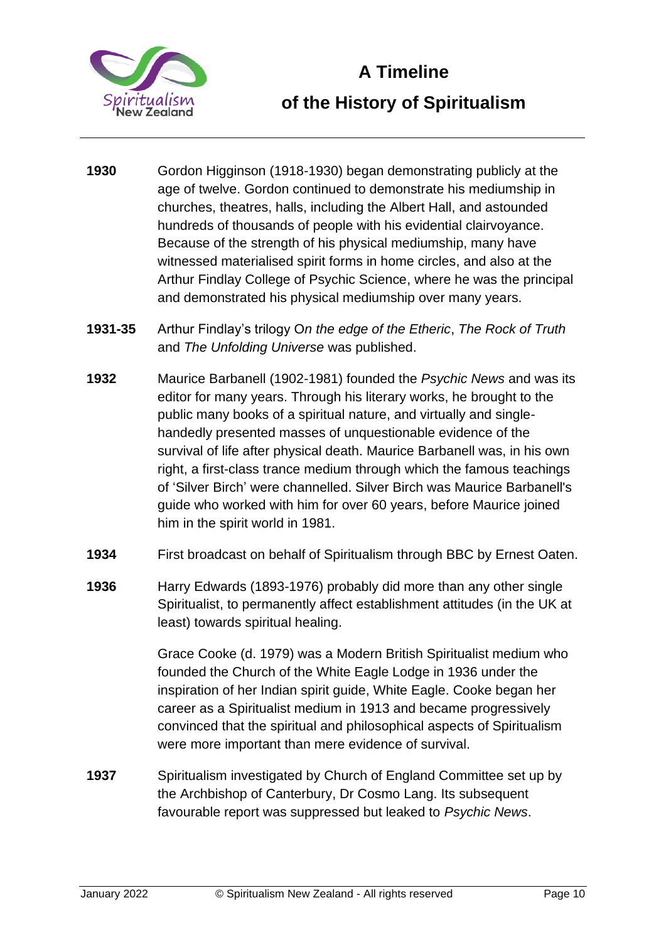

- **1930** Gordon Higginson (1918-1930) began demonstrating publicly at the age of twelve. Gordon continued to demonstrate his mediumship in churches, theatres, halls, including the Albert Hall, and astounded hundreds of thousands of people with his evidential clairvoyance. Because of the strength of his physical mediumship, many have witnessed materialised spirit forms in home circles, and also at the Arthur Findlay College of Psychic Science, where he was the principal and demonstrated his physical mediumship over many years.
- **1931-35** Arthur Findlay's trilogy O*n the edge of the Etheric*, *The Rock of Truth* and *The Unfolding Universe* was published.
- **1932** Maurice Barbanell (1902-1981) founded the *Psychic News* and was its editor for many years. Through his literary works, he brought to the public many books of a spiritual nature, and virtually and singlehandedly presented masses of unquestionable evidence of the survival of life after physical death. Maurice Barbanell was, in his own right, a first-class trance medium through which the famous teachings of 'Silver Birch' were channelled. Silver Birch was Maurice Barbanell's guide who worked with him for over 60 years, before Maurice joined him in the spirit world in 1981.
- **1934** First broadcast on behalf of Spiritualism through BBC by Ernest Oaten.
- **1936** Harry Edwards (1893-1976) probably did more than any other single Spiritualist, to permanently affect establishment attitudes (in the UK at least) towards spiritual healing.

Grace Cooke (d. 1979) was a Modern British Spiritualist medium who founded the Church of the White Eagle Lodge in 1936 under the inspiration of her Indian spirit guide, White Eagle. Cooke began her career as a Spiritualist medium in 1913 and became progressively convinced that the spiritual and philosophical aspects of Spiritualism were more important than mere evidence of survival.

**1937** Spiritualism investigated by Church of England Committee set up by the Archbishop of Canterbury, Dr Cosmo Lang. Its subsequent favourable report was suppressed but leaked to *Psychic News*.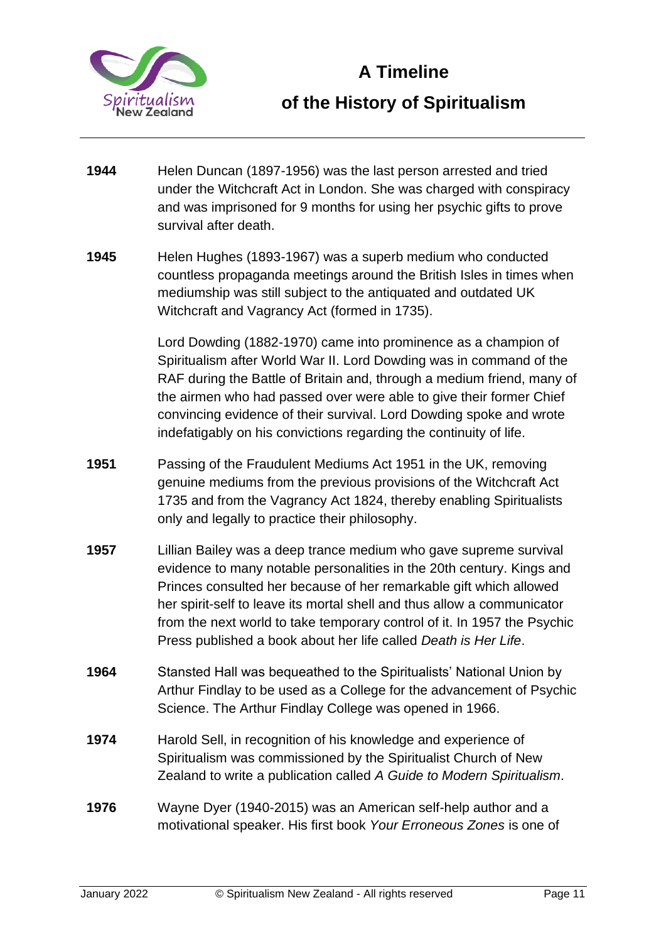

- **1944** Helen Duncan (1897-1956) was the last person arrested and tried under the Witchcraft Act in London. She was charged with conspiracy and was imprisoned for 9 months for using her psychic gifts to prove survival after death.
- **1945** Helen Hughes (1893-1967) was a superb medium who conducted countless propaganda meetings around the British Isles in times when mediumship was still subject to the antiquated and outdated UK Witchcraft and Vagrancy Act (formed in 1735).

Lord Dowding (1882-1970) came into prominence as a champion of Spiritualism after World War II. Lord Dowding was in command of the RAF during the Battle of Britain and, through a medium friend, many of the airmen who had passed over were able to give their former Chief convincing evidence of their survival. Lord Dowding spoke and wrote indefatigably on his convictions regarding the continuity of life.

- **1951** Passing of the Fraudulent Mediums Act 1951 in the UK, removing genuine mediums from the previous provisions of the Witchcraft Act 1735 and from the Vagrancy Act 1824, thereby enabling Spiritualists only and legally to practice their philosophy.
- **1957** Lillian Bailey was a deep trance medium who gave supreme survival evidence to many notable personalities in the 20th century. Kings and Princes consulted her because of her remarkable gift which allowed her spirit-self to leave its mortal shell and thus allow a communicator from the next world to take temporary control of it. In 1957 the Psychic Press published a book about her life called *Death is Her Life*.
- **1964** Stansted Hall was bequeathed to the Spiritualists' National Union by Arthur Findlay to be used as a College for the advancement of Psychic Science. The Arthur Findlay College was opened in 1966.
- **1974** Harold Sell, in recognition of his knowledge and experience of Spiritualism was commissioned by the Spiritualist Church of New Zealand to write a publication called *A Guide to Modern Spiritualism*.
- **1976** Wayne Dyer (1940-2015) was an American self-help author and a motivational speaker. His first book *Your Erroneous Zones* is one of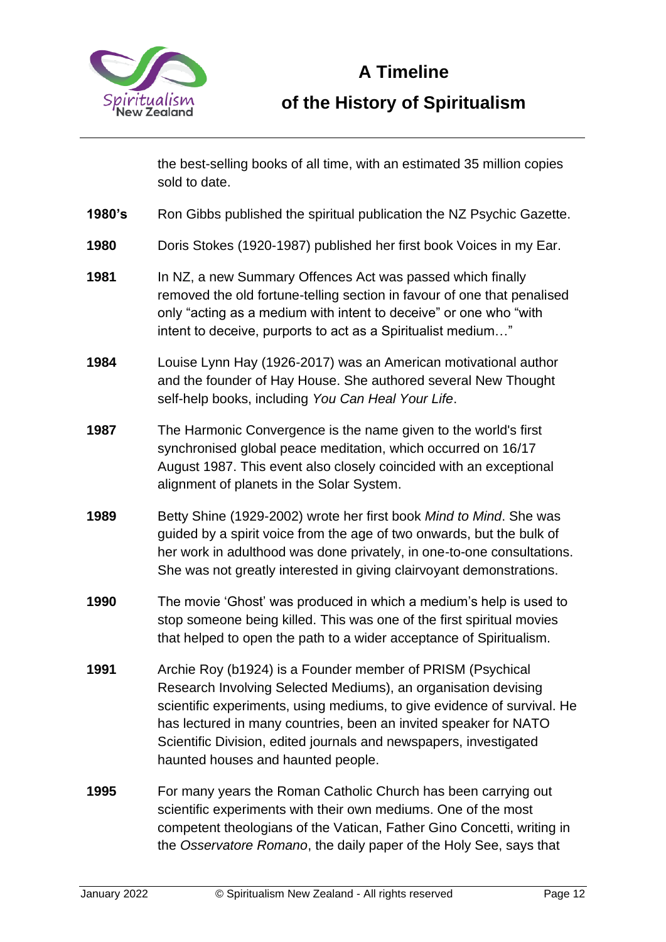

the best-selling books of all time, with an estimated 35 million copies sold to date.

- **1980's** Ron Gibbs published the spiritual publication the NZ Psychic Gazette.
- **1980** Doris Stokes (1920-1987) published her first book Voices in my Ear.
- **1981** In NZ, a new Summary Offences Act was passed which finally removed the old fortune-telling section in favour of one that penalised only "acting as a medium with intent to deceive" or one who "with intent to deceive, purports to act as a Spiritualist medium…"
- **1984** Louise Lynn Hay (1926-2017) was an American motivational author and the founder of Hay House. She authored several New Thought self-help books, including *You Can Heal Your Life*.
- **1987** The Harmonic Convergence is the name given to the world's first synchronised global peace meditation, which occurred on 16/17 August 1987. This event also closely coincided with an exceptional alignment of planets in the Solar System.
- **1989** Betty Shine (1929-2002) wrote her first book *Mind to Mind*. She was guided by a spirit voice from the age of two onwards, but the bulk of her work in adulthood was done privately, in one-to-one consultations. She was not greatly interested in giving clairvoyant demonstrations.
- **1990** The movie 'Ghost' was produced in which a medium's help is used to stop someone being killed. This was one of the first spiritual movies that helped to open the path to a wider acceptance of Spiritualism.
- **1991** Archie Roy (b1924) is a Founder member of PRISM (Psychical Research Involving Selected Mediums), an organisation devising scientific experiments, using mediums, to give evidence of survival. He has lectured in many countries, been an invited speaker for NATO Scientific Division, edited journals and newspapers, investigated haunted houses and haunted people.
- **1995** For many years the Roman Catholic Church has been carrying out scientific experiments with their own mediums. One of the most competent theologians of the Vatican, Father Gino Concetti, writing in the *Osservatore Romano*, the daily paper of the Holy See, says that